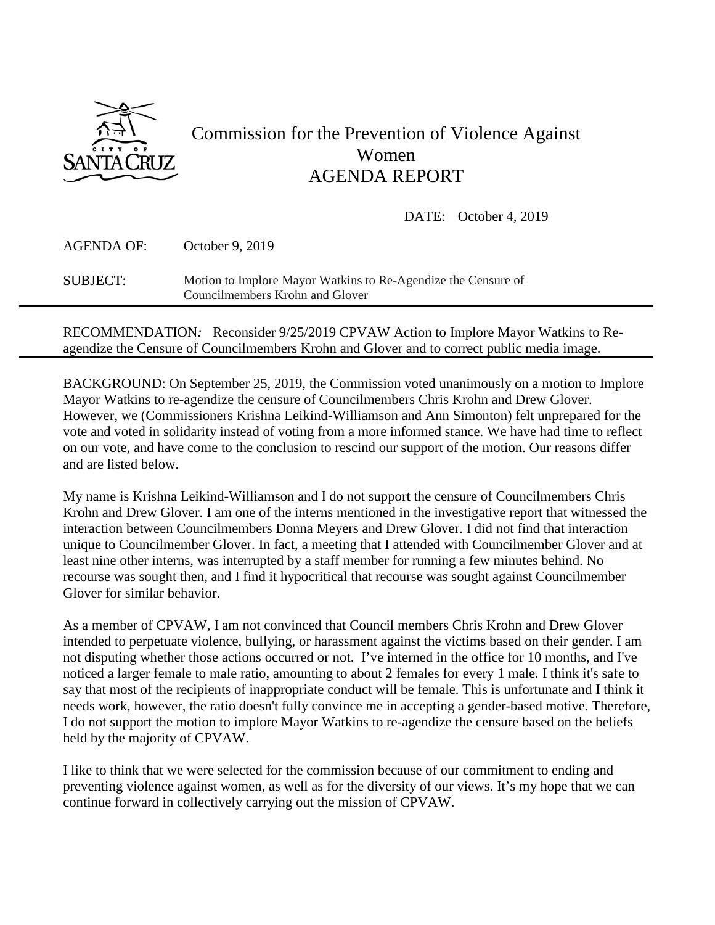

## Commission for the Prevention of Violence Against Women AGENDA REPORT

DATE: October 4, 2019

| AGENDA OF:      | October 9, 2019                                                                                  |
|-----------------|--------------------------------------------------------------------------------------------------|
| <b>SUBJECT:</b> | Motion to Implore Mayor Watkins to Re-Agendize the Censure of<br>Councilmembers Krohn and Glover |

RECOMMENDATION*:* Reconsider 9/25/2019 CPVAW Action to Implore Mayor Watkins to Reagendize the Censure of Councilmembers Krohn and Glover and to correct public media image.

BACKGROUND: On September 25, 2019, the Commission voted unanimously on a motion to Implore Mayor Watkins to re-agendize the censure of Councilmembers Chris Krohn and Drew Glover. However, we (Commissioners Krishna Leikind-Williamson and Ann Simonton) felt unprepared for the vote and voted in solidarity instead of voting from a more informed stance. We have had time to reflect on our vote, and have come to the conclusion to rescind our support of the motion. Our reasons differ and are listed below.

My name is Krishna Leikind-Williamson and I do not support the censure of Councilmembers Chris Krohn and Drew Glover. I am one of the interns mentioned in the investigative report that witnessed the interaction between Councilmembers Donna Meyers and Drew Glover. I did not find that interaction unique to Councilmember Glover. In fact, a meeting that I attended with Councilmember Glover and at least nine other interns, was interrupted by a staff member for running a few minutes behind. No recourse was sought then, and I find it hypocritical that recourse was sought against Councilmember Glover for similar behavior.

As a member of CPVAW, I am not convinced that Council members Chris Krohn and Drew Glover intended to perpetuate violence, bullying, or harassment against the victims based on their gender. I am not disputing whether those actions occurred or not. I've interned in the office for 10 months, and I've noticed a larger female to male ratio, amounting to about 2 females for every 1 male. I think it's safe to say that most of the recipients of inappropriate conduct will be female. This is unfortunate and I think it needs work, however, the ratio doesn't fully convince me in accepting a gender-based motive. Therefore, I do not support the motion to implore Mayor Watkins to re-agendize the censure based on the beliefs held by the majority of CPVAW.

I like to think that we were selected for the commission because of our commitment to ending and preventing violence against women, as well as for the diversity of our views. It's my hope that we can continue forward in collectively carrying out the mission of CPVAW.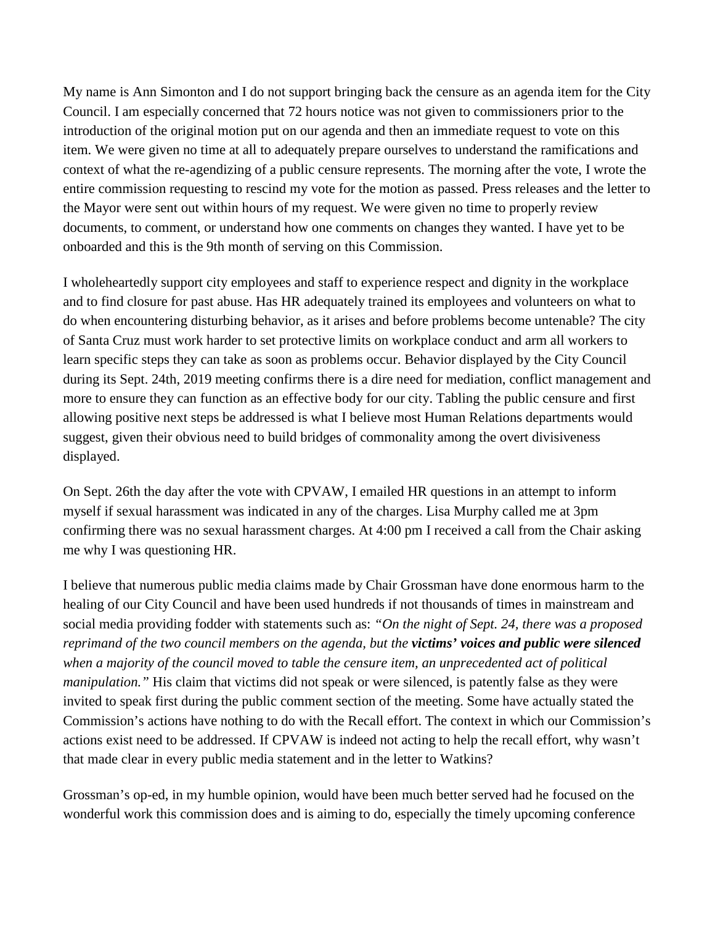My name is Ann Simonton and I do not support bringing back the censure as an agenda item for the City Council. I am especially concerned that 72 hours notice was not given to commissioners prior to the introduction of the original motion put on our agenda and then an immediate request to vote on this item. We were given no time at all to adequately prepare ourselves to understand the ramifications and context of what the re-agendizing of a public censure represents. The morning after the vote, I wrote the entire commission requesting to rescind my vote for the motion as passed. Press releases and the letter to the Mayor were sent out within hours of my request. We were given no time to properly review documents, to comment, or understand how one comments on changes they wanted. I have yet to be onboarded and this is the 9th month of serving on this Commission.

I wholeheartedly support city employees and staff to experience respect and dignity in the workplace and to find closure for past abuse. Has HR adequately trained its employees and volunteers on what to do when encountering disturbing behavior, as it arises and before problems become untenable? The city of Santa Cruz must work harder to set protective limits on workplace conduct and arm all workers to learn specific steps they can take as soon as problems occur. Behavior displayed by the City Council during its Sept. 24th, 2019 meeting confirms there is a dire need for mediation, conflict management and more to ensure they can function as an effective body for our city. Tabling the public censure and first allowing positive next steps be addressed is what I believe most Human Relations departments would suggest, given their obvious need to build bridges of commonality among the overt divisiveness displayed.

On Sept. 26th the day after the vote with CPVAW, I emailed HR questions in an attempt to inform myself if sexual harassment was indicated in any of the charges. Lisa Murphy called me at 3pm confirming there was no sexual harassment charges. At 4:00 pm I received a call from the Chair asking me why I was questioning HR.

I believe that numerous public media claims made by Chair Grossman have done enormous harm to the healing of our City Council and have been used hundreds if not thousands of times in mainstream and social media providing fodder with statements such as: *"On the night of Sept. 24, there was a proposed reprimand of the two council members on the agenda, but the victims' voices and public were silenced when a majority of the council moved to table the censure item, an unprecedented act of political manipulation."* His claim that victims did not speak or were silenced, is patently false as they were invited to speak first during the public comment section of the meeting. Some have actually stated the Commission's actions have nothing to do with the Recall effort. The context in which our Commission's actions exist need to be addressed. If CPVAW is indeed not acting to help the recall effort, why wasn't that made clear in every public media statement and in the letter to Watkins?

Grossman's op-ed, in my humble opinion, would have been much better served had he focused on the wonderful work this commission does and is aiming to do, especially the timely upcoming conference